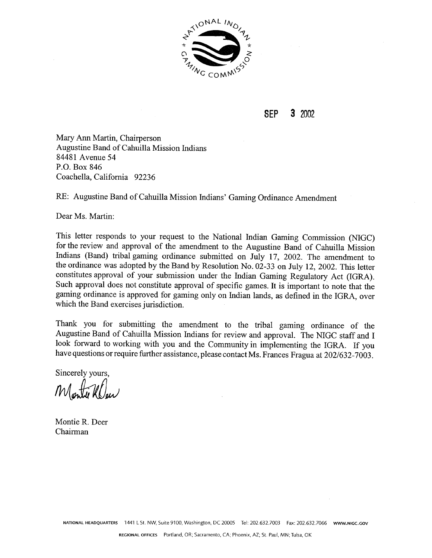

**SEP 3** 2002

Mary Ann Martin, Chairperson Augustine Band of Cahuilla Mission Indians 84481 Avenue 54 P.O. Box 846 Coachella, California 92236

RE: Augustine Band of Cahuilla Mission Indians' Gaming Ordinance Amendment

Dear Ms. Martin:

This letter responds to your request to the National Indian Gaming Commission (NIGC) for the review and approval of the amendment to the Augustine Band of Cahuilla Mission Indians (Band) tribal gaming ordinance submitted on July 17, 2002. The amendment to the ordinance was adopted by the Band by Resolution No. 02-33 on July 12, 2002. This letter constitutes approval of your submission under the Indian Gaming Regulatory Act (IGRA). Such approval does not constitute approval of specific games. It is important to note that the gaming ordinance is approved for gaming only on Indian lands, as defined in the IGRA, over which the Band exercises jurisdiction.

Thank you for submitting the amendment to the tribal gaming ordinance of the Augustine Band of Cahuilla Mission Indians for review and approval. The NIGC staff and I look forward to working with you and the Community in implementing the IGRA. If you have questions or require further assistance, please contact Ms. Frances Fragua at 202/632-7003.

Sincerely yours,

Montie R. Deer Chairman

**NATIONAL HEADQUARTERS** 1441 **L** St. NW, Suite 9100, Washington. DC 20005 Tel: 202.632.7003 Fax: 202.632.7066 **WWW.NlGC.GOV**